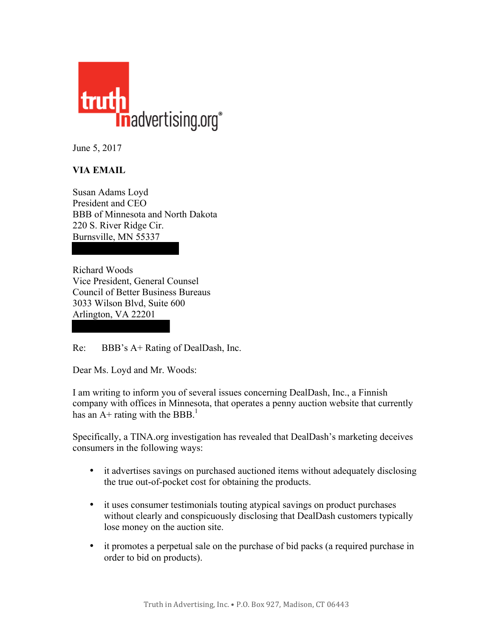

June 5, 2017

## **VIA EMAIL**

Susan Adams Loyd President and CEO BBB of Minnesota and North Dakota 220 S. River Ridge Cir. Burnsville, MN 55337

Richard Woods Vice President, General Counsel Council of Better Business Bureaus 3033 Wilson Blvd, Suite 600 Arlington, VA 22201

Re: BBB's A+ Rating of DealDash, Inc.

Dear Ms. Loyd and Mr. Woods:

I am writing to inform you of several issues concerning DealDash, Inc., a Finnish company with offices in Minnesota, that operates a penny auction website that currently has an  $A+$  rating with the BBB.<sup>1</sup>

Specifically, a TINA.org investigation has revealed that DealDash's marketing deceives consumers in the following ways:

- it advertises savings on purchased auctioned items without adequately disclosing the true out-of-pocket cost for obtaining the products.
- it uses consumer testimonials touting atypical savings on product purchases without clearly and conspicuously disclosing that DealDash customers typically lose money on the auction site.
- it promotes a perpetual sale on the purchase of bid packs (a required purchase in order to bid on products).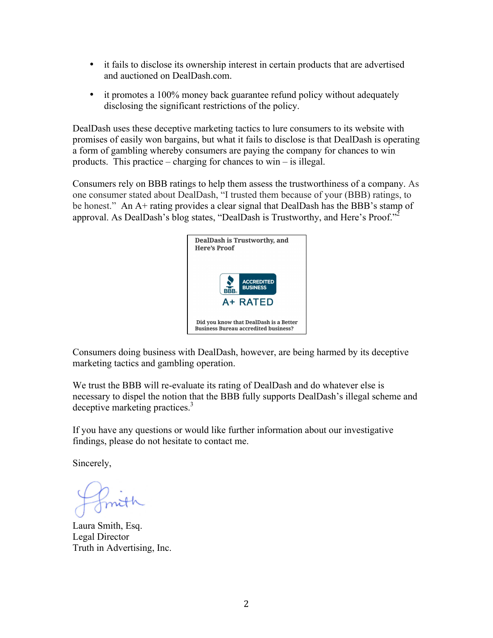- it fails to disclose its ownership interest in certain products that are advertised and auctioned on DealDash.com.
- it promotes a 100% money back guarantee refund policy without adequately disclosing the significant restrictions of the policy.

DealDash uses these deceptive marketing tactics to lure consumers to its website with promises of easily won bargains, but what it fails to disclose is that DealDash is operating a form of gambling whereby consumers are paying the company for chances to win products. This practice – charging for chances to win – is illegal.

Consumers rely on BBB ratings to help them assess the trustworthiness of a company. As one consumer stated about DealDash, "I trusted them because of your (BBB) ratings, to be honest." An A+ rating provides a clear signal that DealDash has the BBB's stamp of approval. As DealDash's blog states, "DealDash is Trustworthy, and Here's Proof."<sup>2</sup>



Consumers doing business with DealDash, however, are being harmed by its deceptive marketing tactics and gambling operation.

We trust the BBB will re-evaluate its rating of DealDash and do whatever else is necessary to dispel the notion that the BBB fully supports DealDash's illegal scheme and deceptive marketing practices.<sup>3</sup>

If you have any questions or would like further information about our investigative findings, please do not hesitate to contact me.

Sincerely,

Laura Smith, Esq. Legal Director Truth in Advertising, Inc.